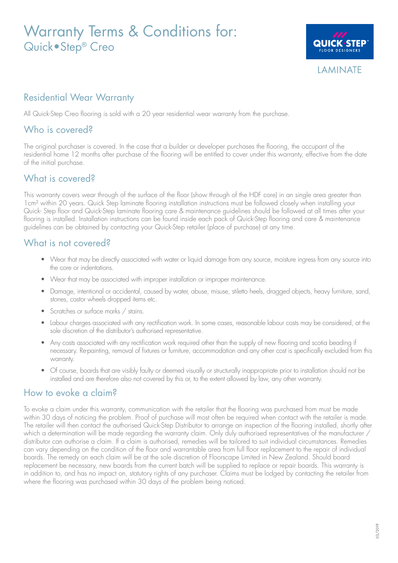# Warranty Terms & Conditions for: Quick•Step® Creo



## Residential Wear Warranty

All Quick-Step Creo flooring is sold with a 20 year residential wear warranty from the purchase.

### Who is covered?

The original purchaser is covered. In the case that a builder or developer purchases the flooring, the occupant of the residential home 12 months after purchase of the flooring will be entitled to cover under this warranty, effective from the date of the initial purchase.

#### What is covered?

This warranty covers wear through of the surface of the floor (show through of the HDF core) in an single area greater than 1cm² within 20 years. Quick Step laminate flooring installation instructions must be followed closely when installing your Quick- Step floor and Quick-Step laminate flooring care & maintenance guidelines should be followed at all times after your flooring is installed. Installation instructions can be found inside each pack of Quick-Step flooring and care & maintenance guidelines can be obtained by contacting your Quick-Step retailer (place of purchase) at any time.

#### What is not covered?

- Wear that may be directly associated with water or liquid damage from any source, moisture ingress from any source into the core or indentations.
- Wear that may be associated with improper installation or improper maintenance.
- Damage, intentional or accidental, caused by water, abuse, misuse, stiletto heels, dragged objects, heavy furniture, sand, stones, castor wheels dropped items etc.
- Scratches or surface marks / stains.
- Labour charges associated with any rectification work. In some cases, reasonable labour costs may be considered, at the sole discretion of the distributor's authorised representative.
- Any costs associated with any rectification work required other than the supply of new flooring and scotia beading if necessary. Re-painting, removal of fixtures or furniture, accommodation and any other cost is specifically excluded from this warranty.
- Of course, boards that are visibly faulty or deemed visually or structurally inappropriate prior to installation should not be installed and are therefore also not covered by this or, to the extent allowed by law, any other warranty.

#### How to evoke a claim?

To evoke a claim under this warranty, communication with the retailer that the flooring was purchased from must be made within 30 days of noticing the problem. Proof of purchase will most often be required when contact with the retailer is made. The retailer will then contact the authorised Quick-Step Distributor to arrange an inspection of the flooring installed, shortly after which a determination will be made regarding the warranty claim. Only duly authorised representatives of the manufacturer / distributor can authorise a claim. If a claim is authorised, remedies will be tailored to suit individual circumstances. Remedies can vary depending on the condition of the floor and warrantable area from full floor replacement to the repair of individual boards. The remedy on each claim will be at the sole discretion of Floorscape Limited in New Zealand. Should board replacement be necessary, new boards from the current batch will be supplied to replace or repair boards. This warranty is in addition to, and has no impact on, statutory rights of any purchaser. Claims must be lodged by contacting the retailer from where the flooring was purchased within 30 days of the problem being noticed.